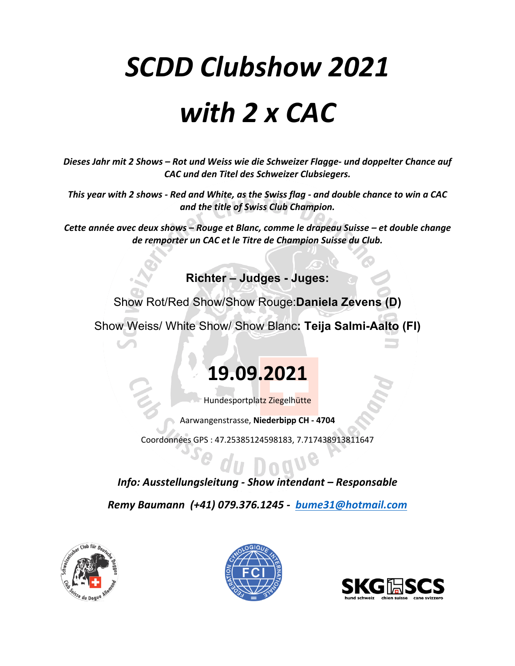# *SCDD Clubshow 2021 with 2 x CAC*

*Dieses Jahr mit 2 Shows – Rot und Weiss wie die Schweizer Flagge- und doppelter Chance auf CAC und den Titel des Schweizer Clubsiegers.*

*This year with 2 shows - Red and White, as the Swiss flag - and double chance to win a CAC and the title of Swiss Club Champion.*

*Cette année avec deux shows – Rouge et Blanc, comme le drapeau Suisse – et double change de remporter un CAC et le Titre de Champion Suisse du Club.*

**Richter – Judges - Juges:**

Show Rot/Red Show/Show Rouge:**Daniela Zevens (D)**

Show Weiss/ White Show/ Show Blanc**: Teija Salmi-Aalto (FI)**

## **19.09.2021**

Hundesportplatz Ziegelhütte

Aarwangenstrasse, **Niederbipp CH - 4704**

Coordonnées GPS : 47.25385124598183, 7.717438913811647

### *Info: Ausstellungsleitung - Show intendant – Responsable*

*Remy Baumann (+41) 079.376.1245 - bume31@hotmail.com*